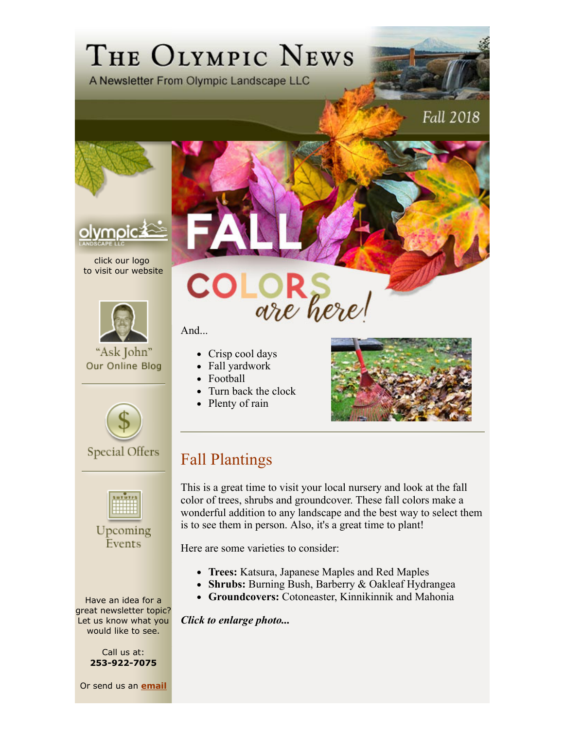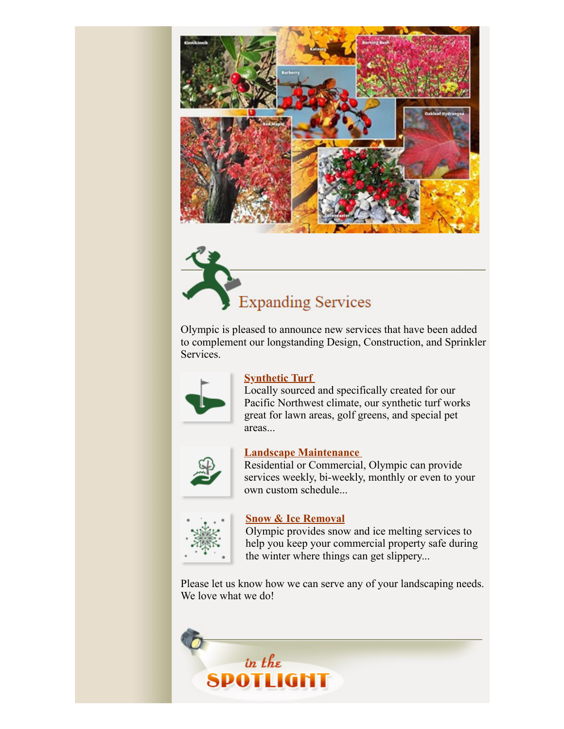

**Expanding Services** 

Olympic is pleased to announce new services that have been added to complement our longstanding Design, Construction, and Sprinkler Services.



### **<u>Synthetic Turf</u>**

Locally sourced and specifically created for our Pacific Northwest climate, our synthetic turf works great for lawn areas, golf greens, and special pet areas...



#### **Landscape Maintenance**

Residential or Commercial, Olympic can provide services weekly, bi-weekly, monthly or even to your own custom schedule...



#### **Snow & Ice Removal**

Olympic provides snow and ice melting services to help you keep your commercial property safe during the winter where things can get slippery...

Please let us know how we can serve any of your landscaping needs. We love what we do!

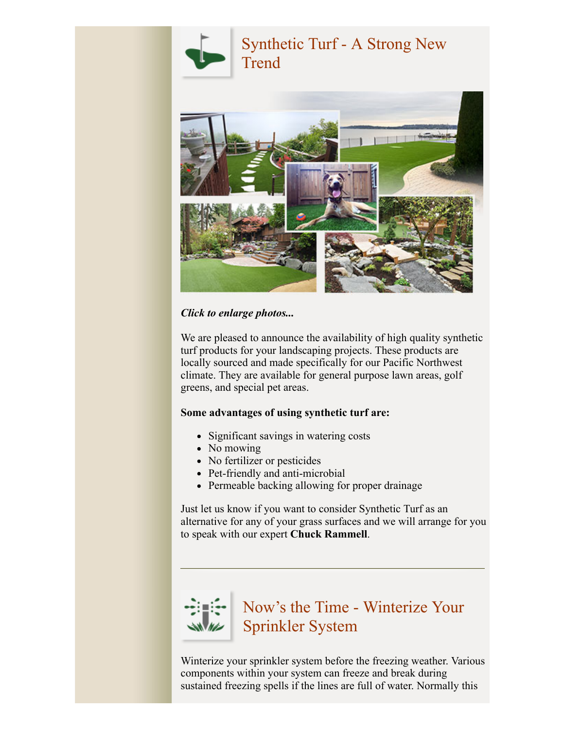



*Click to enlarge photos...* 

We are pleased to announce the availability of high quality synthetic turf products for your landscaping projects. These products are locally sourced and made specifically for our Pacific Northwest climate. They are available for general purpose lawn areas, golf greens, and special pet areas.

### **Some advantages of using synthetic turf are:**

- Significant savings in watering costs
- No mowing
- No fertilizer or pesticides
- Pet-friendly and anti-microbial
- Permeable backing allowing for proper drainage

Just let us know if you want to consider Synthetic Turf as an alternative for any of your grass surfaces and we will arrange for you to speak with our expert **Chuck Rammell**.



## Now's the Time - Winterize Your Sprinkler System

Winterize your sprinkler system before the freezing weather. Various components within your system can freeze and break during sustained freezing spells if the lines are full of water. Normally this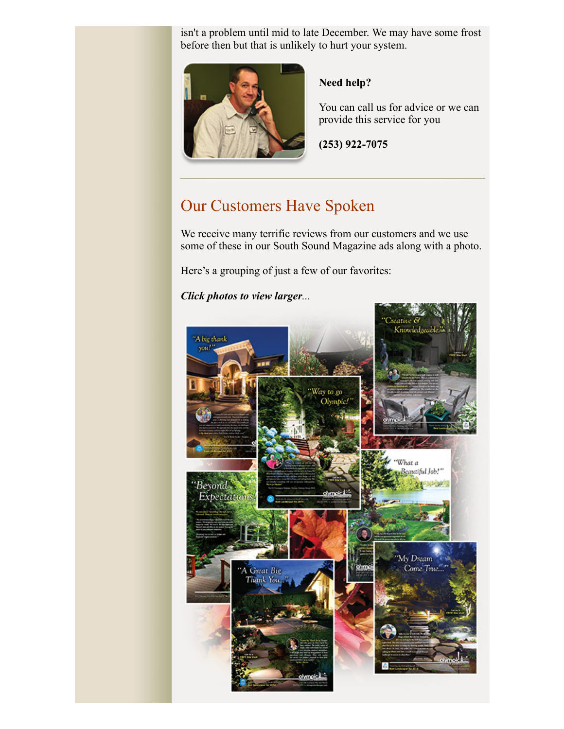isn't a problem until mid to late December. We may have some frost before then but that is unlikely to hurt your system.



### **Need help?**

You can call us for advice or we can provide this service for you

**(253) 922-7075**

### Our Customers Have Spoken

We receive many terrific reviews from our customers and we use some of these in our South Sound Magazine ads along with a photo.

Here's a grouping of just a few of our favorites:

*Click photos to view larger...*